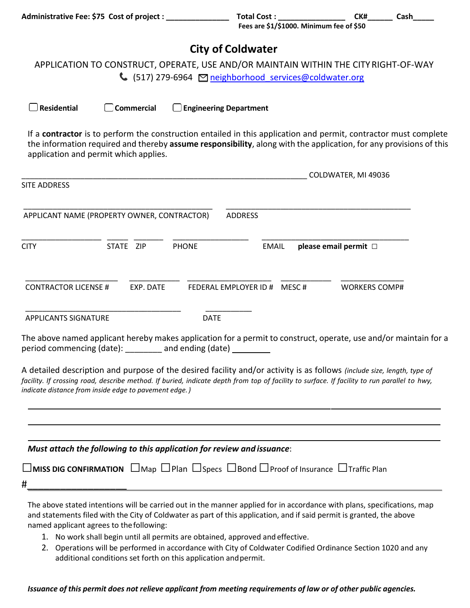**Administrative Fee: \$75 Cost of project : \_\_\_\_\_\_\_\_\_\_\_\_\_\_\_ Total Cost : \_\_\_\_\_\_\_\_\_\_\_\_\_\_\_\_ CK#\_\_\_\_\_\_ Cash\_\_\_\_\_**

## **City of Coldwater**

APPLICATION TO CONSTRUCT, OPERATE, USE AND/OR MAINTAIN WITHIN THE CITY RIGHT-OF-WAY  $\bigcup$  (517) 279-6964  $\bigcirc$  neighborhood services@coldwater.org

 **Residential Commercial Engineering Department**

If a **contractor** is to perform the construction entailed in this application and permit, contractor must complete the information required and thereby **assume responsibility**, along with the application, for any provisions of this application and permit which applies.

|                                                                        |           |              |                              | COLDWATER, MI 49036                                                                                                                                                                                                                                                    |
|------------------------------------------------------------------------|-----------|--------------|------------------------------|------------------------------------------------------------------------------------------------------------------------------------------------------------------------------------------------------------------------------------------------------------------------|
| <b>SITE ADDRESS</b>                                                    |           |              |                              |                                                                                                                                                                                                                                                                        |
| APPLICANT NAME (PROPERTY OWNER, CONTRACTOR)                            |           |              | <b>ADDRESS</b>               |                                                                                                                                                                                                                                                                        |
| <b>CITY</b>                                                            | STATE ZIP | <b>PHONE</b> | <b>EMAIL</b>                 | please email permit $\Box$                                                                                                                                                                                                                                             |
| <b>CONTRACTOR LICENSE #</b>                                            | EXP. DATE |              | FEDERAL EMPLOYER ID # MESC # | <b>WORKERS COMP#</b>                                                                                                                                                                                                                                                   |
| <b>APPLICANTS SIGNATURE</b>                                            |           | <b>DATE</b>  |                              |                                                                                                                                                                                                                                                                        |
| period commencing (date): ________ and ending (date) ________          |           |              |                              | The above named applicant hereby makes application for a permit to construct, operate, use and/or maintain for a                                                                                                                                                       |
| indicate distance from inside edge to pavement edge.)                  |           |              |                              | A detailed description and purpose of the desired facility and/or activity is as follows (include size, length, type of<br>facility. If crossing road, describe method. If buried, indicate depth from top of facility to surface. If facility to run parallel to hwy, |
|                                                                        |           |              |                              |                                                                                                                                                                                                                                                                        |
| Must attach the following to this application for review and issuance: |           |              |                              |                                                                                                                                                                                                                                                                        |
|                                                                        |           |              |                              |                                                                                                                                                                                                                                                                        |

The above stated intentions will be carried out in the manner applied for in accordance with plans, specifications, map and statements filed with the City of Coldwater as part of this application, and if said permit is granted, the above named applicant agrees to thefollowing:

- 1. No work shall begin until all permits are obtained, approved and effective.
- 2. Operations will be performed in accordance with City of Coldwater Codified Ordinance Section 1020 and any additional conditions set forth on this application andpermit.

Issuance of this permit does not relieve applicant from meeting requirements of law or of other public agencies.